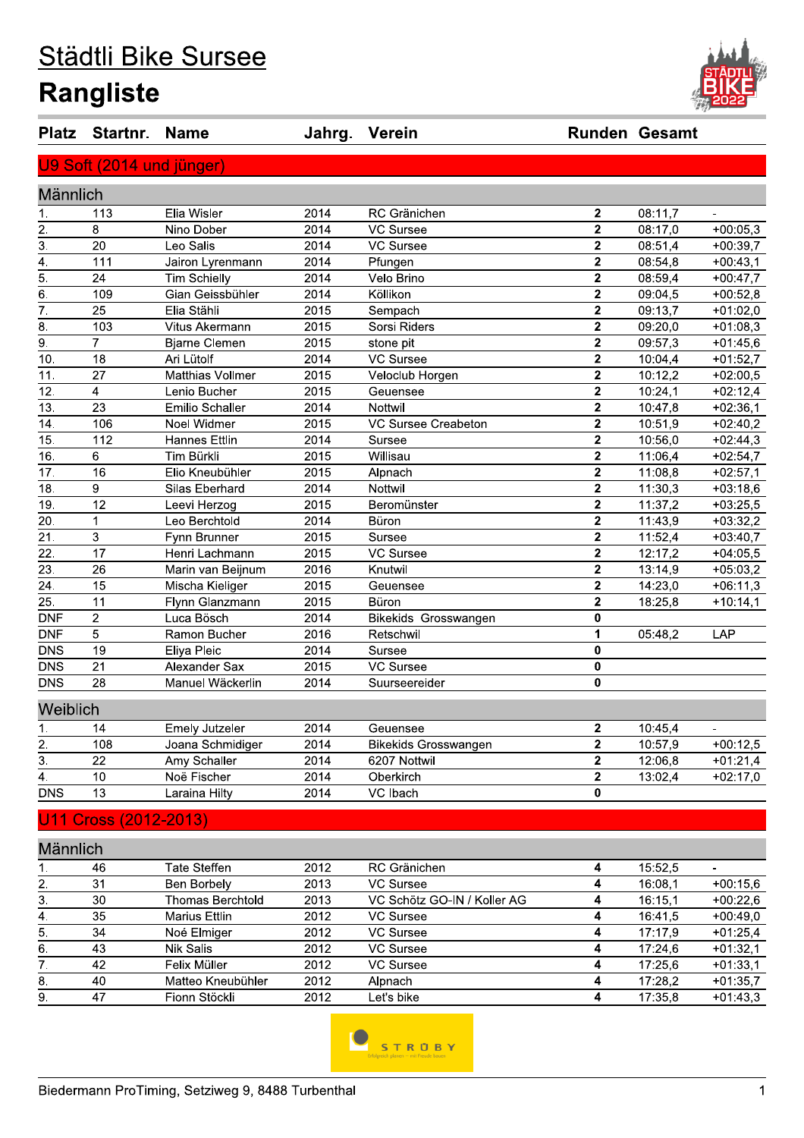# Städtli Bike Sursee **Rangliste**



| <b>Platz</b>     | Startnr.                  | <b>Name</b>           | Jahrg. | Verein                      |                | <b>Runden Gesamt</b> |                          |
|------------------|---------------------------|-----------------------|--------|-----------------------------|----------------|----------------------|--------------------------|
|                  | U9 Soft (2014 und jünger) |                       |        |                             |                |                      |                          |
| Männlich         |                           |                       |        |                             |                |                      |                          |
| 1.               | 113                       | Elia Wisler           | 2014   | RC Gränichen                | 2              | 08:11,7              | $\mathbf{r}$             |
| 2.               | 8                         | Nino Dober            | 2014   | VC Sursee                   | $\mathbf{2}$   | 08:17,0              | $+00:05,3$               |
| $\overline{3}$ . | 20                        | Leo Salis             | 2014   | <b>VC Sursee</b>            | $\mathbf{2}$   | 08:51,4              | $+00:39,7$               |
| 4.               | 111                       | Jairon Lyrenmann      | 2014   | Pfungen                     | $\mathbf{2}$   | 08:54,8              | $+00:43,1$               |
| 5.               | 24                        | <b>Tim Schielly</b>   | 2014   | Velo Brino                  | $\mathbf{2}$   | 08:59.4              | $+00:47,7$               |
| 6.               | 109                       | Gian Geissbühler      | 2014   | Köllikon                    | $\mathbf{2}$   | 09:04,5              | $+00:52,8$               |
| 7.               | 25                        | Elia Stähli           | 2015   | Sempach                     | $\mathbf{2}$   | 09:13,7              | $+01:02,0$               |
| 8.               | 103                       | Vitus Akermann        | 2015   | Sorsi Riders                | $\mathbf{2}$   | 09:20,0              | $+01:08,3$               |
| 9.               | $\overline{7}$            | <b>Bjarne Clemen</b>  | 2015   | stone pit                   | $\mathbf{2}$   | 09:57,3              | $+01:45,6$               |
| 10.              | 18                        | Ari Lütolf            | 2014   | <b>VC Sursee</b>            | $\mathbf{2}$   | 10:04,4              | $+01:52,7$               |
| 11.              | 27                        | Matthias Vollmer      | 2015   | Veloclub Horgen             | $\mathbf{2}$   | 10:12,2              | $+02:00,5$               |
| 12.              | 4                         | Lenio Bucher          | 2015   | Geuensee                    | $\mathbf{2}$   | 10:24,1              | $+02:12,4$               |
| 13.              | 23                        | Emilio Schaller       | 2014   | Nottwil                     | $\mathbf{2}$   | 10:47,8              | $+02:36,1$               |
| 14.              | 106                       | Noel Widmer           | 2015   | VC Sursee Creabeton         | $\mathbf{2}$   | 10:51,9              | $+02:40,2$               |
| 15.              | 112                       | <b>Hannes Ettlin</b>  | 2014   | Sursee                      | $\mathbf 2$    | 10:56,0              | $+02:44,3$               |
| 16.              | 6                         | Tim Bürkli            | 2015   | Willisau                    | $\mathbf 2$    | 11:06,4              | $+02:54,7$               |
| 17.              | 16                        | Elio Kneubühler       | 2015   | Alpnach                     | $\mathbf 2$    | 11:08,8              | $+02:57,1$               |
| 18.              | 9                         | Silas Eberhard        | 2014   | Nottwil                     | $\mathbf{2}$   | 11:30,3              | $+03:18,6$               |
| 19.              | 12                        | Leevi Herzog          | 2015   | Beromünster                 | $\mathbf{2}$   | 11:37,2              | $+03:25,5$               |
| 20.              | 1                         | Leo Berchtold         | 2014   | Büron                       | $\mathbf{2}$   | 11:43,9              | $+03:32,2$               |
| 21.              | 3                         | Fynn Brunner          | 2015   | Sursee                      | $\mathbf 2$    | 11:52,4              | $+03:40,7$               |
| 22.              | 17                        | Henri Lachmann        | 2015   | <b>VC Sursee</b>            | $\mathbf{2}$   | 12:17,2              | $+04:05,5$               |
| 23.              | 26                        | Marin van Beijnum     | 2016   | Knutwil                     | $\mathbf{2}$   | 13:14,9              | $+05:03,2$               |
| 24.              | 15                        | Mischa Kieliger       | 2015   | Geuensee                    | $\mathbf{2}$   | 14:23,0              | $+06:11,3$               |
| 25.              | 11                        | Flynn Glanzmann       | 2015   | Büron                       | $\mathbf{2}$   | 18:25,8              | $+10:14,1$               |
| <b>DNF</b>       | $\overline{c}$            | Luca Bösch            | 2014   | Bikekids Grosswangen        | $\mathbf{0}$   |                      |                          |
| <b>DNF</b>       | 5                         | Ramon Bucher          | 2016   | Retschwil                   | 1              | 05:48,2              | LAP                      |
| <b>DNS</b>       | 19                        | Eliya Pleic           | 2014   | Sursee                      | 0              |                      |                          |
| <b>DNS</b>       | 21                        | Alexander Sax         | 2015   | <b>VC Sursee</b>            | 0              |                      |                          |
| <b>DNS</b>       | 28                        | Manuel Wäckerlin      | 2014   | Suurseereider               | 0              |                      |                          |
| Weiblich         |                           |                       |        |                             |                |                      |                          |
| 1.               | 14                        | <b>Emely Jutzeler</b> | 2014   | Geuensee                    | $\mathbf 2$    | 10:45,4              | $\overline{\phantom{a}}$ |
| $rac{2}{3}$      | 108                       | Joana Schmidiger      | 2014   | <b>Bikekids Grosswangen</b> | $\overline{2}$ | 10:57,9              | $+00:12,5$               |
|                  | 22                        | Amy Schaller          | 2014   | 6207 Nottwil                | $\mathbf 2$    | 12:06,8              | $+01:21,4$               |
| $\overline{4}$ . | 10                        | Noë Fischer           | 2014   | Oberkirch                   | $\overline{2}$ | 13:02,4              | $+02:17,0$               |
| <b>DNS</b>       | 13                        | Laraina Hilty         | 2014   | VC Ibach                    | $\bf{0}$       |                      |                          |
|                  | Cross (2012-2013)         |                       |        |                             |                |                      |                          |
|                  |                           |                       |        |                             |                |                      |                          |

|    | Mannlıch |                      |      |                             |         |            |
|----|----------|----------------------|------|-----------------------------|---------|------------|
| ., | 46       | Tate Steffen         | 2012 | RC Gränichen                | 15:52.5 |            |
| 2. | 31       | Ben Borbely          | 2013 | VC Sursee                   | 16:08.1 | $+00:15,6$ |
| 3. | 30       | Thomas Berchtold     | 2013 | VC Schötz GO-IN / Koller AG | 16:15.1 | $+00:22,6$ |
| 4. | 35       | <b>Marius Ettlin</b> | 2012 | VC Sursee                   | 16:41.5 | $+00:49.0$ |
| 5. | 34       | Noé Elmiger          | 2012 | VC Sursee                   | 17:17.9 | $+01:25.4$ |
| 6. | 43       | Nik Salis            | 2012 | VC Sursee                   | 17:24,6 | $+01:32.1$ |
|    | 42       | Felix Müller         | 2012 | VC Sursee                   | 17:25.6 | $+01:33.1$ |
| 8. | 40       | Matteo Kneubühler    | 2012 | Alpnach                     | 17:28.2 | $+01:35.7$ |
| 9. | 47       | Fionn Stöckli        | 2012 | Let's bike                  | 17:35.8 | $+01:43.3$ |
|    |          |                      |      |                             |         |            |

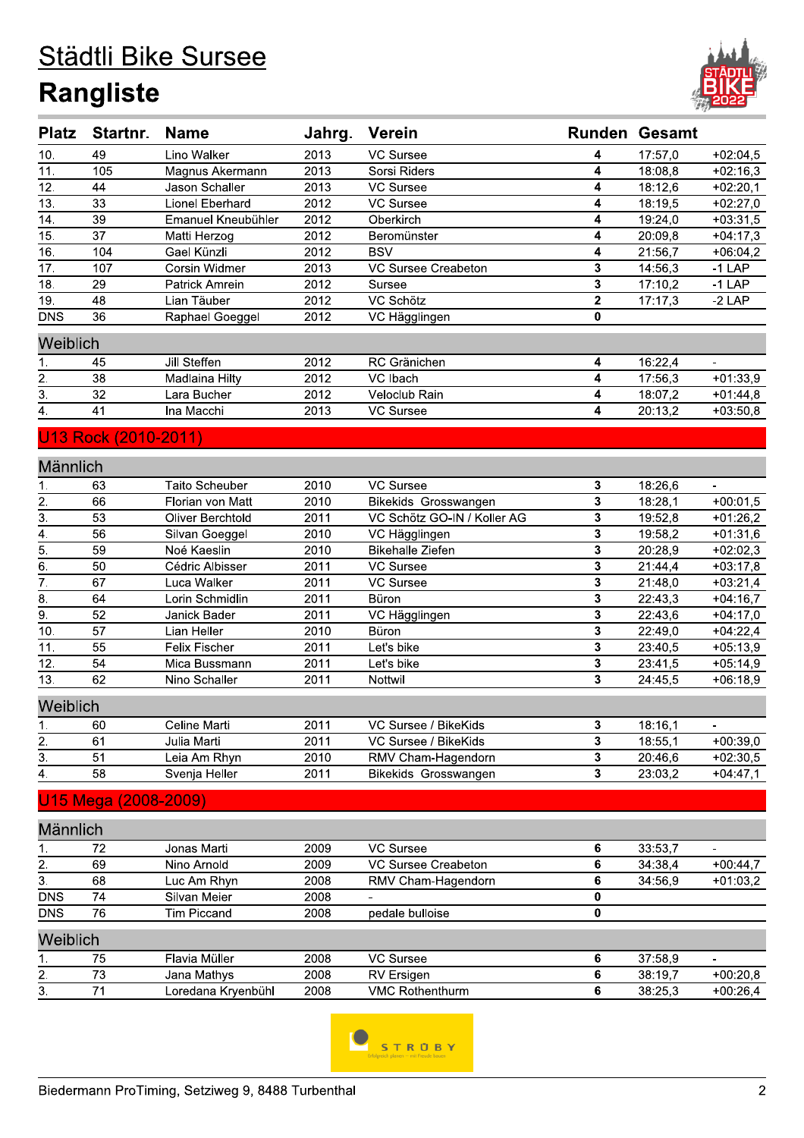# Städtli Bike Sursee **Rangliste**



| <b>Platz</b>     | Startnr.             | <b>Name</b>           | Jahrg. | <b>Verein</b>               |                         | <b>Runden Gesamt</b> |                |
|------------------|----------------------|-----------------------|--------|-----------------------------|-------------------------|----------------------|----------------|
| 10.              | 49                   | Lino Walker           | 2013   | VC Sursee                   | 4                       | 17:57,0              | $+02:04,5$     |
| 11.              | 105                  | Magnus Akermann       | 2013   | Sorsi Riders                | 4                       | 18:08,8              | $+02:16,3$     |
| 12.              | 44                   | Jason Schaller        | 2013   | VC Sursee                   | 4                       | 18:12,6              | $+02:20,1$     |
| 13.              | 33                   | Lionel Eberhard       | 2012   | VC Sursee                   | 4                       | 18:19,5              | $+02:27,0$     |
| 14.              | 39                   | Emanuel Kneubühler    | 2012   | Oberkirch                   | 4                       | 19:24,0              | $+03:31,5$     |
| 15.              | 37                   | Matti Herzog          | 2012   | Beromünster                 | 4                       | 20:09,8              | $+04:17,3$     |
| 16.              | 104                  | Gael Künzli           | 2012   | <b>BSV</b>                  | 4                       | 21:56,7              | $+06:04,2$     |
| 17.              | 107                  | Corsin Widmer         | 2013   | VC Sursee Creabeton         | 3                       | 14:56,3              | $-1$ LAP       |
| 18.              | 29                   | <b>Patrick Amrein</b> | 2012   | Sursee                      | 3                       | 17:10,2              | $-1$ LAP       |
| 19.              | 48                   | Lian Täuber           | 2012   | VC Schötz                   | $\mathbf{2}$            | 17:17,3              | $-2$ LAP       |
| <b>DNS</b>       | 36                   | Raphael Goeggel       | 2012   | VC Hägglingen               | 0                       |                      |                |
| Weiblich         |                      |                       |        |                             |                         |                      |                |
| 1.               | 45                   | Jill Steffen          | 2012   | RC Gränichen                | 4                       | 16:22,4              | $\blacksquare$ |
| 2.               | 38                   | Madlaina Hilty        | 2012   | VC Ibach                    | 4                       | 17:56,3              | $+01:33,9$     |
| $\overline{3}$ . | 32                   | Lara Bucher           | 2012   | Veloclub Rain               | 4                       | 18:07,2              | $+01:44,8$     |
| 4.               | 41                   | Ina Macchi            | 2013   | VC Sursee                   | 4                       | 20:13,2              | $+03:50,8$     |
|                  | U13 Rock (2010-2011) |                       |        |                             |                         |                      |                |
| Männlich         |                      |                       |        |                             |                         |                      |                |
| 1.               | 63                   | Taito Scheuber        | 2010   | VC Sursee                   | 3                       | 18:26,6              | $\blacksquare$ |
|                  | 66                   | Florian von Matt      | 2010   | Bikekids Grosswangen        | 3                       | 18:28,1              | $+00:01,5$     |
| $\frac{2}{3}$    | 53                   | Oliver Berchtold      | 2011   | VC Schötz GO-IN / Koller AG | 3                       | 19:52,8              | $+01:26,2$     |
| $\overline{4}$ . | 56                   | Silvan Goeggel        | 2010   | VC Hägglingen               | 3                       | 19:58,2              | $+01:31,6$     |
| $\frac{5}{6}$    | 59                   | Noé Kaeslin           | 2010   | <b>Bikehalle Ziefen</b>     | 3                       | 20:28,9              | $+02:02,3$     |
|                  | 50                   | Cédric Albisser       | 2011   | VC Sursee                   | $\overline{\mathbf{3}}$ | 21:44,4              | $+03:17,8$     |
| $\overline{7}$   | 67                   | Luca Walker           | 2011   | VC Sursee                   | 3                       | 21:48,0              | $+03:21,4$     |
| $\overline{8}$ . | 64                   | Lorin Schmidlin       | 2011   | <b>Büron</b>                | 3                       | 22:43,3              | $+04:16,7$     |
| $\overline{9}$ . | 52                   | Janick Bader          | 2011   | VC Hägglingen               | 3                       | 22:43,6              | $+04:17,0$     |
| 10.              | 57                   | Lian Heller           | 2010   | Büron                       | 3                       | 22:49,0              | $+04:22,4$     |
| 11.              | 55                   | <b>Felix Fischer</b>  | 2011   | Let's bike                  | 3                       | 23:40,5              | $+05:13,9$     |
| 12.              | 54                   | Mica Bussmann         | 2011   | Let's bike                  | 3                       | 23:41,5              | $+05:14,9$     |
| 13.              | 62                   | Nino Schaller         | 2011   | Nottwil                     | 3                       | 24:45,5              | $+06:18,9$     |
| Weiblich         |                      |                       |        |                             |                         |                      |                |
| 1,               | 60                   | Celine Marti          | 2011   | VC Sursee / BikeKids        | ${\bf 3}$               | 18:16,1              |                |
| $\overline{2}$ . | 61                   | Julia Marti           | 2011   | VC Sursee / BikeKids        | 3                       | 18:55,1              | $+00:39,0$     |
| $\overline{3}$ . | 51                   | Leia Am Rhyn          | 2010   | RMV Cham-Hagendorn          | 3                       | 20:46,6              | $+02:30,5$     |
| $\overline{4}$ . | 58                   | Svenja Heller         | 2011   | Bikekids Grosswangen        | 3                       | 23:03,2              | $+04:47,1$     |
|                  | U15 Mega (2008-2009) |                       |        |                             |                         |                      |                |
| Männlich         |                      |                       |        |                             |                         |                      |                |
| 1.               | 72                   | Jonas Marti           | 2009   | VC Sursee                   | 6                       | 33:53,7              |                |
| $\overline{2}$ . | 69                   | Nino Arnold           | 2009   | <b>VC Sursee Creabeton</b>  | 6                       | 34:38,4              | $+00:44,7$     |
| $\overline{3}$ . | 68                   | Luc Am Rhyn           | 2008   | RMV Cham-Hagendorn          | 6                       | 34:56,9              | $+01:03,2$     |
| <b>DNS</b>       | 74                   | Silvan Meier          | 2008   |                             | 0                       |                      |                |
| <b>DNS</b>       | 76                   | <b>Tim Piccand</b>    | 2008   | pedale bulloise             | 0                       |                      |                |
| Weiblich         |                      |                       |        |                             |                         |                      |                |
| 1.               | 75                   | Flavia Müller         | 2008   | <b>VC Sursee</b>            | 6                       | 37:58,9              |                |
| 2.               | 73                   | Jana Mathys           | 2008   | RV Ersigen                  | 6                       | 38:19,7              | $+00:20,8$     |
| 3.               | 71                   | Loredana Kryenbühl    | 2008   | <b>VMC Rothenthurm</b>      | 6                       | 38:25,3              | $+00:26,4$     |
|                  |                      |                       |        |                             |                         |                      |                |

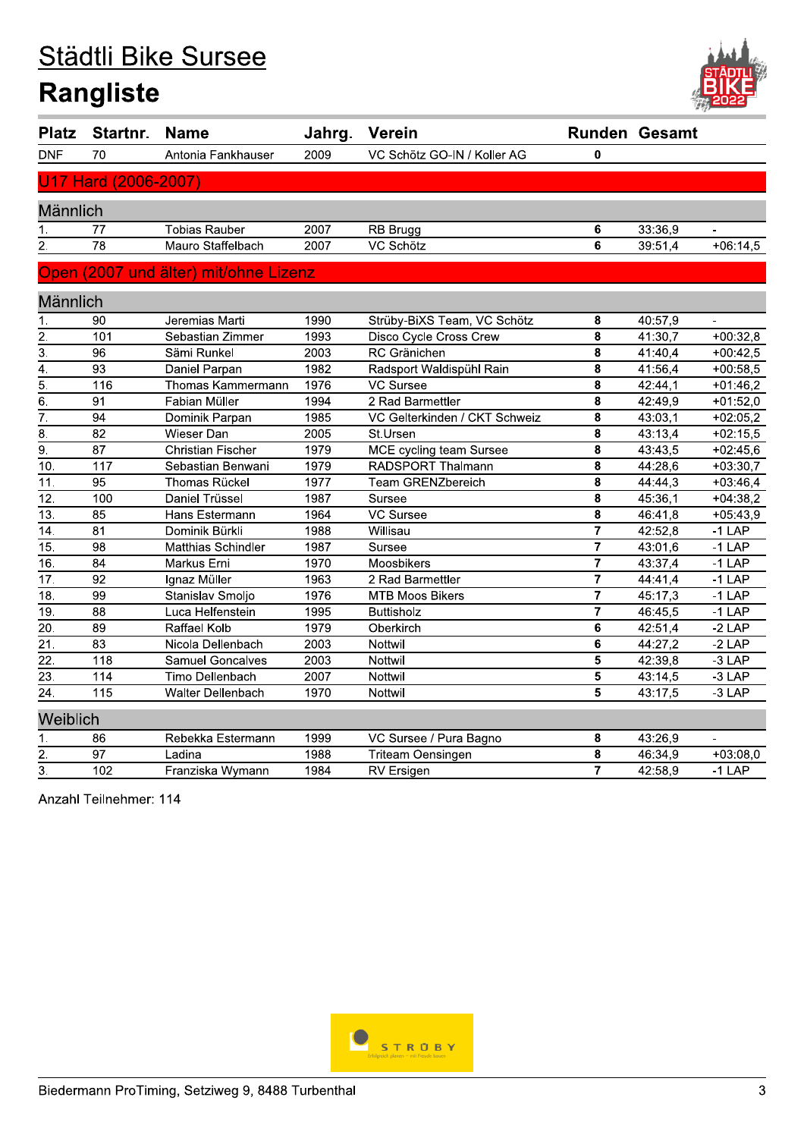# Städtli Bike Sursee **Rangliste**



| <b>Platz</b>      | Startnr.             | <b>Name</b>                           | Jahrg. | Verein                        |                         | <b>Runden Gesamt</b> |                |
|-------------------|----------------------|---------------------------------------|--------|-------------------------------|-------------------------|----------------------|----------------|
| <b>DNF</b>        | 70                   | Antonia Fankhauser                    | 2009   | VC Schötz GO-IN / Koller AG   | 0                       |                      |                |
|                   | U17 Hard (2006-2007) |                                       |        |                               |                         |                      |                |
| Männlich          |                      |                                       |        |                               |                         |                      |                |
| 1.                | 77                   | <b>Tobias Rauber</b>                  | 2007   | RB Brugg                      | 6                       | 33:36,9              |                |
| $\overline{2}$ .  | $\overline{78}$      | Mauro Staffelbach                     | 2007   | VC Schötz                     | $\overline{\mathbf{6}}$ | 39:51,4              | $+06:14,5$     |
|                   |                      | Open (2007 und älter) mit/ohne Lizenz |        |                               |                         |                      |                |
| Männlich          |                      |                                       |        |                               |                         |                      |                |
| 1.                | 90                   | Jeremias Marti                        | 1990   | Strüby-BiXS Team, VC Schötz   | 8                       | 40:57,9              | $\blacksquare$ |
| $\overline{2}$ .  | 101                  | Sebastian Zimmer                      | 1993   | Disco Cycle Cross Crew        | 8                       | 41:30,7              | $+00:32,8$     |
| $\overline{3}$ .  | 96                   | Sämi Runkel                           | 2003   | RC Gränichen                  | 8                       | 41:40,4              | $+00:42,5$     |
| $\overline{4}$ .  | $\overline{93}$      | Daniel Parpan                         | 1982   | Radsport Waldispühl Rain      | $\overline{\mathbf{8}}$ | 41:56,4              | $+00:58,5$     |
| $\overline{5}$ .  | 116                  | Thomas Kammermann                     | 1976   | <b>VC Sursee</b>              | 8                       | 42:44,1              | $+01:46,2$     |
| $\overline{6}$ .  | $\overline{91}$      | Fabian Müller                         | 1994   | 2 Rad Barmettler              | 8                       | 42:49,9              | $+01:52,0$     |
| $\overline{7}$ .  | $\overline{94}$      | Dominik Parpan                        | 1985   | VC Gelterkinden / CKT Schweiz | 8                       | 43:03,1              | $+02:05,2$     |
| $\overline{8}$ .  | 82                   | Wieser Dan                            | 2005   | St.Ursen                      | 8                       | 43:13,4              | $+02:15,5$     |
| $\overline{9}$ .  | 87                   | Christian Fischer                     | 1979   | MCE cycling team Sursee       | $\overline{\mathbf{8}}$ | 43:43,5              | $+02:45,6$     |
| 10.               | 117                  | Sebastian Benwani                     | 1979   | RADSPORT Thalmann             | $\overline{\mathbf{8}}$ | 44:28,6              | $+03:30,7$     |
| $\overline{11}$ . | $\overline{95}$      | Thomas Rückel                         | 1977   | Team GRENZbereich             | $\overline{\mathbf{8}}$ | 44:44,3              | $+03:46,4$     |
| 12.               | 100                  | Daniel Trüssel                        | 1987   | Sursee                        | 8                       | 45:36,1              | $+04:38,2$     |
| $\overline{13}$ . | 85                   | Hans Estermann                        | 1964   | VC Sursee                     | 8                       | 46:41,8              | $+05:43,9$     |
| 14.               | 81                   | Dominik Bürkli                        | 1988   | Willisau                      | $\overline{7}$          | 42:52,8              | $-1$ LAP       |
| 15.               | 98                   | Matthias Schindler                    | 1987   | Sursee                        | $\overline{7}$          | 43:01,6              | $-1$ LAP       |
| $\overline{16}$ . | $\overline{84}$      | Markus Erni                           | 1970   | Moosbikers                    | 7                       | 43:37,4              | $-1$ LAP       |
| $\overline{17}$ . | $\overline{92}$      | Ignaz Müller                          | 1963   | 2 Rad Barmettler              | 7                       | 44:41,4              | $-1$ LAP       |
| 18.               | $\overline{99}$      | Stanislav Smoljo                      | 1976   | <b>MTB Moos Bikers</b>        | $\overline{\mathbf{7}}$ | 45:17,3              | $-1$ LAP       |
| $\overline{19}$ . | 88                   | Luca Helfenstein                      | 1995   | <b>Buttisholz</b>             | $\overline{\mathbf{7}}$ | 46:45,5              | $-1$ LAP       |
| $\overline{20}$ . | 89                   | Raffael Kolb                          | 1979   | Oberkirch                     | 6                       | 42:51,4              | $-2$ LAP       |
| $\overline{21}$ . | 83                   | Nicola Dellenbach                     | 2003   | Nottwil                       | 6                       | 44:27,2              | $-2$ LAP       |
| $\overline{22}$ . | $\overline{118}$     | <b>Samuel Goncalves</b>               | 2003   | Nottwil                       | $\overline{\mathbf{5}}$ | 42:39,8              | $-3$ LAP       |
| $\overline{23}$ . | 114                  | Timo Dellenbach                       | 2007   | Nottwil                       | $\overline{\mathbf{5}}$ | 43:14,5              | $-3$ LAP       |
| $\overline{24}$ . | 115                  | Walter Dellenbach                     | 1970   | Nottwil                       | 5                       | 43:17,5              | $-3$ LAP       |
| Weiblich          |                      |                                       |        |                               |                         |                      |                |
| 1.                | 86                   | Rebekka Estermann                     | 1999   | VC Sursee / Pura Bagno        | 8                       | 43:26,9              | $\blacksquare$ |
| $\overline{2}$ .  | 97                   | Ladina                                | 1988   | Triteam Oensingen             | 8                       | 46:34,9              | $+03:08,0$     |
| $\overline{3}$ .  | 102                  | Franziska Wymann                      | 1984   | RV Ersigen                    | $\overline{7}$          | 42:58,9              | $-1$ LAP       |

Anzahl Teilnehmer: 114

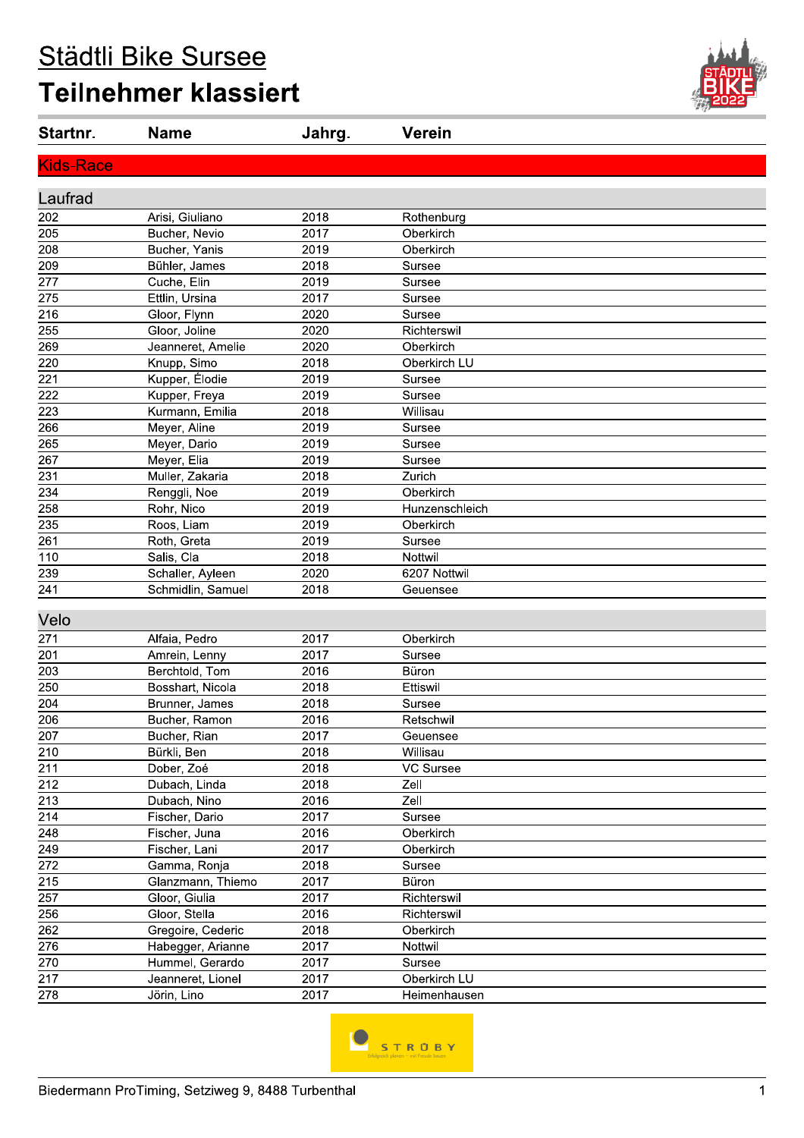# Städtli Bike Sursee **Teilnehmer klassiert**



| Startnr.         | <b>Name</b>       | Jahrg. | <b>Verein</b>  |
|------------------|-------------------|--------|----------------|
| <b>Kids-Race</b> |                   |        |                |
| Laufrad          |                   |        |                |
| 202              | Arisi, Giuliano   | 2018   | Rothenburg     |
| 205              | Bucher, Nevio     | 2017   | Oberkirch      |
| 208              | Bucher, Yanis     | 2019   | Oberkirch      |
| 209              | Bühler, James     | 2018   | Sursee         |
| 277              | Cuche, Elin       | 2019   | Sursee         |
| 275              | Ettlin, Ursina    | 2017   | Sursee         |
| 216              | Gloor, Flynn      | 2020   | Sursee         |
| 255              | Gloor, Joline     | 2020   | Richterswil    |
| 269              | Jeanneret, Amelie | 2020   | Oberkirch      |
| 220              | Knupp, Simo       | 2018   | Oberkirch LU   |
| 221              | Kupper, Élodie    | 2019   | Sursee         |
| 222              | Kupper, Freya     | 2019   | Sursee         |
| 223              | Kurmann, Emilia   | 2018   | Willisau       |
| 266              | Meyer, Aline      | 2019   | Sursee         |
| 265              | Meyer, Dario      | 2019   | Sursee         |
| 267              | Meyer, Elia       | 2019   | Sursee         |
| 231              | Muller, Zakaria   | 2018   | Zurich         |
| 234              | Renggli, Noe      | 2019   | Oberkirch      |
| 258              | Rohr, Nico        | 2019   | Hunzenschleich |
| 235              | Roos, Liam        | 2019   | Oberkirch      |
| 261              | Roth, Greta       | 2019   | Sursee         |
| 110              | Salis, Cla        | 2018   | Nottwil        |
| 239              | Schaller, Ayleen  | 2020   | 6207 Nottwil   |
| 241              | Schmidlin, Samuel | 2018   | Geuensee       |
| Velo             |                   |        |                |
|                  |                   |        |                |
| 271              | Alfaia, Pedro     | 2017   | Oberkirch      |
| 201              | Amrein, Lenny     | 2017   | Sursee         |
| 203              | Berchtold, Tom    | 2016   | Büron          |
| 250              | Bosshart, Nicola  | 2018   | Ettiswil       |
| 204              | Brunner, James    | 2018   | Sursee         |
| 206              | Bucher, Ramon     | 2016   | Retschwil      |
| 207              | Bucher, Rian      | 2017   | Geuensee       |
| 210              | Bürkli, Ben       | 2018   | Willisau       |
| 211              | Dober, Zoé        | 2018   | VC Sursee      |
| 212              | Dubach, Linda     | 2018   | Zell           |
| 213              | Dubach, Nino      | 2016   | Zell           |
| 214              | Fischer, Dario    | 2017   | Sursee         |
| 248              | Fischer, Juna     | 2016   | Oberkirch      |
| 249              | Fischer, Lani     | 2017   | Oberkirch      |
| 272              | Gamma, Ronja      | 2018   | Sursee         |
| 215              | Glanzmann, Thiemo | 2017   | Büron          |
| 257              | Gloor, Giulia     | 2017   | Richterswil    |
| 256              | Gloor, Stella     | 2016   | Richterswil    |
| 262              | Gregoire, Cederic | 2018   | Oberkirch      |
| 276              | Habegger, Arianne | 2017   | Nottwil        |
| 270              | Hummel, Gerardo   | 2017   | Sursee         |
| 217              | Jeanneret, Lionel | 2017   | Oberkirch LU   |
| 278              | Jörin, Lino       | 2017   | Heimenhausen   |